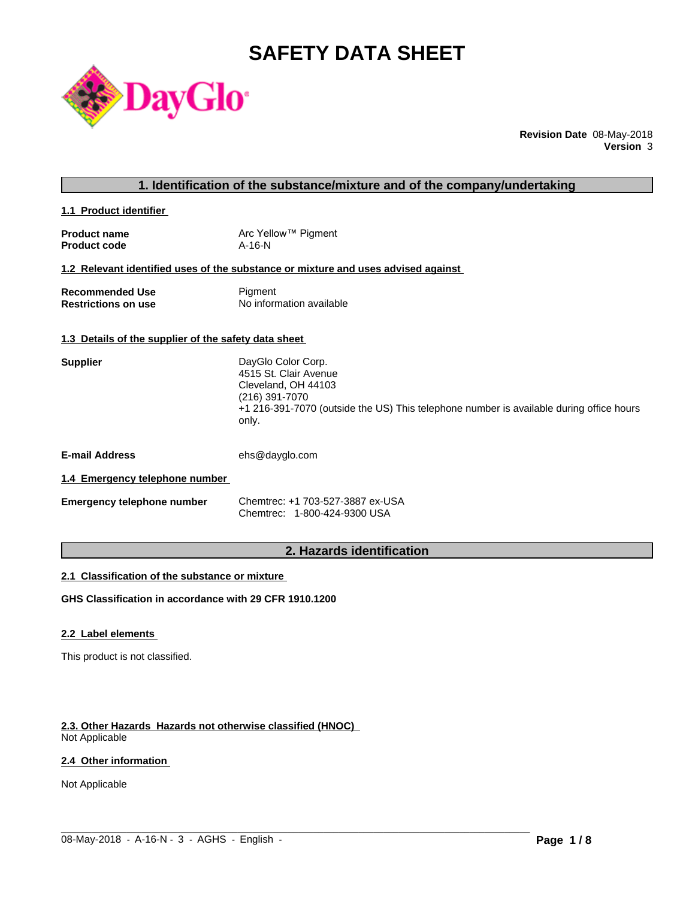# **SAFETY DATA SHEET**



**Revision Date** 08-May-2018 **Version** 3

| 1. Identification of the substance/mixture and of the company/undertaking |  |
|---------------------------------------------------------------------------|--|
|---------------------------------------------------------------------------|--|

**1.1 Product identifier** 

| <b>Product name</b> | Arc Yellow™ Pigment |
|---------------------|---------------------|
| <b>Product code</b> | $A-16-N$            |

### **1.2 Relevant identified uses of the substance or mixture and uses advised against**

| <b>Recommended Use</b>     | Pigment                  |
|----------------------------|--------------------------|
| <b>Restrictions on use</b> | No information available |

#### **1.3 Details of the supplier of the safety data sheet**

| <b>Supplier</b> | DayGlo Color Corp.                                                                               |
|-----------------|--------------------------------------------------------------------------------------------------|
|                 | 4515 St. Clair Avenue                                                                            |
|                 | Cleveland, OH 44103                                                                              |
|                 | (216) 391-7070                                                                                   |
|                 | +1 216-391-7070 (outside the US) This telephone number is available during office hours<br>only. |
|                 |                                                                                                  |

**E-mail Address** ehs@dayglo.com

#### **1.4 Emergency telephone number**

| <b>Emergency telephone number</b> | Chemtrec: +1 703-527-3887 ex-USA |
|-----------------------------------|----------------------------------|
|                                   | Chemtrec: 1-800-424-9300 USA     |

### **2. Hazards identification**

 $\_$  ,  $\_$  ,  $\_$  ,  $\_$  ,  $\_$  ,  $\_$  ,  $\_$  ,  $\_$  ,  $\_$  ,  $\_$  ,  $\_$  ,  $\_$  ,  $\_$  ,  $\_$  ,  $\_$  ,  $\_$  ,  $\_$  ,  $\_$  ,  $\_$  ,  $\_$  ,  $\_$  ,  $\_$  ,  $\_$  ,  $\_$  ,  $\_$  ,  $\_$  ,  $\_$  ,  $\_$  ,  $\_$  ,  $\_$  ,  $\_$  ,  $\_$  ,  $\_$  ,  $\_$  ,  $\_$  ,  $\_$  ,  $\_$  ,

#### **2.1 Classification of the substance or mixture**

**GHS Classification in accordance with 29 CFR 1910.1200**

### **2.2 Label elements**

This product is not classified.

#### **2.3. Other Hazards Hazards not otherwise classified (HNOC)**

Not Applicable

### **2.4 Other information**

Not Applicable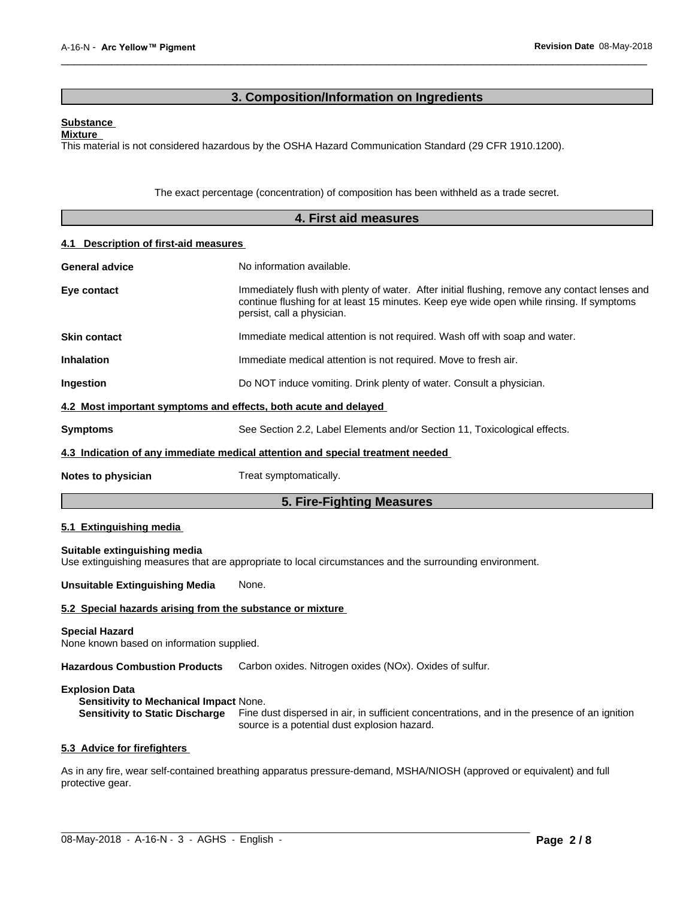### **3. Composition/Information on Ingredients**

 $\overline{\phantom{a}}$  ,  $\overline{\phantom{a}}$  ,  $\overline{\phantom{a}}$  ,  $\overline{\phantom{a}}$  ,  $\overline{\phantom{a}}$  ,  $\overline{\phantom{a}}$  ,  $\overline{\phantom{a}}$  ,  $\overline{\phantom{a}}$  ,  $\overline{\phantom{a}}$  ,  $\overline{\phantom{a}}$  ,  $\overline{\phantom{a}}$  ,  $\overline{\phantom{a}}$  ,  $\overline{\phantom{a}}$  ,  $\overline{\phantom{a}}$  ,  $\overline{\phantom{a}}$  ,  $\overline{\phantom{a}}$ 

#### **Substance**

**Mixture**

This material is not considered hazardous by the OSHA Hazard Communication Standard (29 CFR 1910.1200).

The exact percentage (concentration) of composition has been withheld as a trade secret.

| 4. First aid measures                    |                                                                                                                                                                                                                         |  |
|------------------------------------------|-------------------------------------------------------------------------------------------------------------------------------------------------------------------------------------------------------------------------|--|
| Description of first-aid measures<br>4.1 |                                                                                                                                                                                                                         |  |
| <b>General advice</b>                    | No information available.                                                                                                                                                                                               |  |
| Eye contact                              | Immediately flush with plenty of water. After initial flushing, remove any contact lenses and<br>continue flushing for at least 15 minutes. Keep eye wide open while rinsing. If symptoms<br>persist, call a physician. |  |
| <b>Skin contact</b>                      | Immediate medical attention is not required. Wash off with soap and water.                                                                                                                                              |  |
| <b>Inhalation</b>                        | Immediate medical attention is not required. Move to fresh air.                                                                                                                                                         |  |
| Ingestion                                | Do NOT induce vomiting. Drink plenty of water. Consult a physician.                                                                                                                                                     |  |
|                                          | 4.2 Most important symptoms and effects, both acute and delayed                                                                                                                                                         |  |
| <b>Symptoms</b>                          | See Section 2.2, Label Elements and/or Section 11, Toxicological effects.                                                                                                                                               |  |
|                                          | 4.3 Indication of any immediate medical attention and special treatment needed                                                                                                                                          |  |
| Notes to physician                       | Treat symptomatically.                                                                                                                                                                                                  |  |
|                                          | 5. Fire-Fighting Measures                                                                                                                                                                                               |  |

#### **5.1 Extinguishing media**

**Suitable extinguishing media** Use extinguishing measures that are appropriate to local circumstances and the surrounding environment.

**Unsuitable Extinguishing Media** None.

#### **5.2 Special hazards arising from the substance or mixture**

#### **Special Hazard**

None known based on information supplied.

**Hazardous Combustion Products** Carbon oxides. Nitrogen oxides (NOx). Oxides of sulfur.

#### **Explosion Data**

**Sensitivity to Mechanical Impact** None.

**Sensitivity to Static Discharge** Fine dust dispersed in air, in sufficient concentrations, and in the presence of an ignition source is a potential dust explosion hazard.

#### **5.3 Advice for firefighters**

As in any fire, wear self-contained breathing apparatus pressure-demand, MSHA/NIOSH (approved or equivalent) and full protective gear.

 $\_$  ,  $\_$  ,  $\_$  ,  $\_$  ,  $\_$  ,  $\_$  ,  $\_$  ,  $\_$  ,  $\_$  ,  $\_$  ,  $\_$  ,  $\_$  ,  $\_$  ,  $\_$  ,  $\_$  ,  $\_$  ,  $\_$  ,  $\_$  ,  $\_$  ,  $\_$  ,  $\_$  ,  $\_$  ,  $\_$  ,  $\_$  ,  $\_$  ,  $\_$  ,  $\_$  ,  $\_$  ,  $\_$  ,  $\_$  ,  $\_$  ,  $\_$  ,  $\_$  ,  $\_$  ,  $\_$  ,  $\_$  ,  $\_$  ,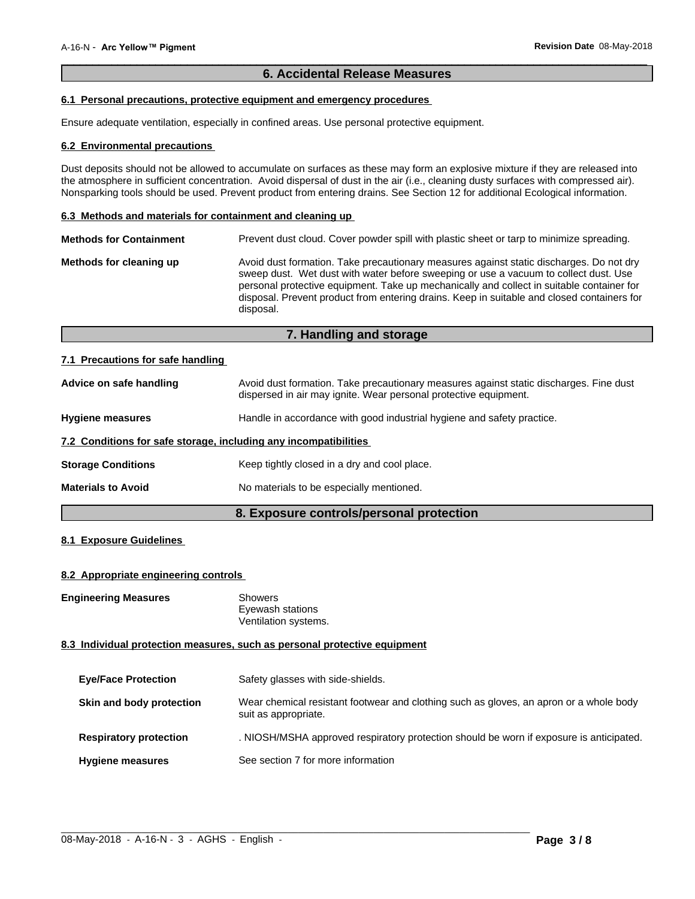### **6. Accidental Release Measures**

 $\overline{\phantom{a}}$  ,  $\overline{\phantom{a}}$  ,  $\overline{\phantom{a}}$  ,  $\overline{\phantom{a}}$  ,  $\overline{\phantom{a}}$  ,  $\overline{\phantom{a}}$  ,  $\overline{\phantom{a}}$  ,  $\overline{\phantom{a}}$  ,  $\overline{\phantom{a}}$  ,  $\overline{\phantom{a}}$  ,  $\overline{\phantom{a}}$  ,  $\overline{\phantom{a}}$  ,  $\overline{\phantom{a}}$  ,  $\overline{\phantom{a}}$  ,  $\overline{\phantom{a}}$  ,  $\overline{\phantom{a}}$ 

### **6.1 Personal precautions, protective equipment and emergency procedures**

Ensure adequate ventilation, especially in confined areas. Use personal protective equipment.

#### **6.2 Environmental precautions**

Dust deposits should not be allowed to accumulate on surfaces as these may form an explosive mixture if they are released into the atmosphere in sufficient concentration. Avoid dispersal of dust in the air (i.e., cleaning dusty surfaces with compressed air). Nonsparking tools should be used. Prevent product from entering drains. See Section 12 for additional Ecological information.

#### **6.3 Methods and materials for containment and cleaning up**

| <b>Methods for Containment</b> | Prevent dust cloud. Cover powder spill with plastic sheet or tarp to minimize spreading.                                                                                                                                                                                                                                                                                                |
|--------------------------------|-----------------------------------------------------------------------------------------------------------------------------------------------------------------------------------------------------------------------------------------------------------------------------------------------------------------------------------------------------------------------------------------|
| Methods for cleaning up        | Avoid dust formation. Take precautionary measures against static discharges. Do not dry<br>sweep dust. Wet dust with water before sweeping or use a vacuum to collect dust. Use<br>personal protective equipment. Take up mechanically and collect in suitable container for<br>disposal. Prevent product from entering drains. Keep in suitable and closed containers for<br>disposal. |

### **7. Handling and storage**

#### **7.1 Precautions for safe handling**

| Advice on safe handling                                          | Avoid dust formation. Take precautionary measures against static discharges. Fine dust<br>dispersed in air may ignite. Wear personal protective equipment. |  |
|------------------------------------------------------------------|------------------------------------------------------------------------------------------------------------------------------------------------------------|--|
| <b>Hygiene measures</b>                                          | Handle in accordance with good industrial hygiene and safety practice.                                                                                     |  |
| 7.2 Conditions for safe storage, including any incompatibilities |                                                                                                                                                            |  |
| <b>Storage Conditions</b>                                        | Keep tightly closed in a dry and cool place.                                                                                                               |  |
| <b>Materials to Avoid</b>                                        | No materials to be especially mentioned.                                                                                                                   |  |

### **8. Exposure controls/personal protection**

### **8.1 Exposure Guidelines**

#### **8.2 Appropriate engineering controls**

**Engineering Measures** Showers

Eyewash stations Ventilation systems.

#### **8.3 Individual protection measures, such as personal protective equipment**

| <b>Eye/Face Protection</b>    | Safety glasses with side-shields.                                                                              |
|-------------------------------|----------------------------------------------------------------------------------------------------------------|
| Skin and body protection      | Wear chemical resistant footwear and clothing such as gloves, an apron or a whole body<br>suit as appropriate. |
| <b>Respiratory protection</b> | . NIOSH/MSHA approved respiratory protection should be worn if exposure is anticipated.                        |
| <b>Hygiene measures</b>       | See section 7 for more information                                                                             |

 $\_$  ,  $\_$  ,  $\_$  ,  $\_$  ,  $\_$  ,  $\_$  ,  $\_$  ,  $\_$  ,  $\_$  ,  $\_$  ,  $\_$  ,  $\_$  ,  $\_$  ,  $\_$  ,  $\_$  ,  $\_$  ,  $\_$  ,  $\_$  ,  $\_$  ,  $\_$  ,  $\_$  ,  $\_$  ,  $\_$  ,  $\_$  ,  $\_$  ,  $\_$  ,  $\_$  ,  $\_$  ,  $\_$  ,  $\_$  ,  $\_$  ,  $\_$  ,  $\_$  ,  $\_$  ,  $\_$  ,  $\_$  ,  $\_$  ,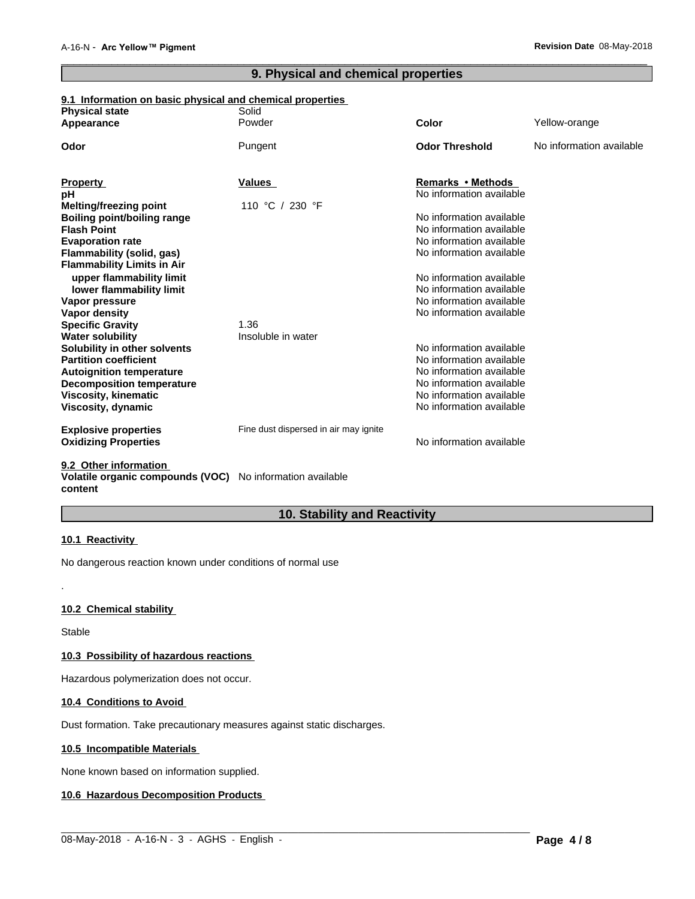## **9. Physical and chemical properties**

 $\overline{\phantom{a}}$  ,  $\overline{\phantom{a}}$  ,  $\overline{\phantom{a}}$  ,  $\overline{\phantom{a}}$  ,  $\overline{\phantom{a}}$  ,  $\overline{\phantom{a}}$  ,  $\overline{\phantom{a}}$  ,  $\overline{\phantom{a}}$  ,  $\overline{\phantom{a}}$  ,  $\overline{\phantom{a}}$  ,  $\overline{\phantom{a}}$  ,  $\overline{\phantom{a}}$  ,  $\overline{\phantom{a}}$  ,  $\overline{\phantom{a}}$  ,  $\overline{\phantom{a}}$  ,  $\overline{\phantom{a}}$ 

### **9.1 Information on basic physical and chemical properties**

| <b>Physical state</b>             | Solid                                 |                          |                          |
|-----------------------------------|---------------------------------------|--------------------------|--------------------------|
| Appearance                        | Powder                                | Color                    | Yellow-orange            |
| Odor                              | Pungent                               | <b>Odor Threshold</b>    | No information available |
| <b>Property</b>                   | Values                                | Remarks • Methods        |                          |
| рH                                |                                       | No information available |                          |
| <b>Melting/freezing point</b>     | 230 °F<br>110 °C /                    |                          |                          |
| Boiling point/boiling range       |                                       | No information available |                          |
| <b>Flash Point</b>                |                                       | No information available |                          |
| <b>Evaporation rate</b>           |                                       | No information available |                          |
| Flammability (solid, gas)         |                                       | No information available |                          |
| <b>Flammability Limits in Air</b> |                                       |                          |                          |
| upper flammability limit          |                                       | No information available |                          |
| lower flammability limit          |                                       | No information available |                          |
| Vapor pressure                    |                                       | No information available |                          |
| Vapor density                     |                                       | No information available |                          |
| <b>Specific Gravity</b>           | 1.36                                  |                          |                          |
| <b>Water solubility</b>           | Insoluble in water                    |                          |                          |
| Solubility in other solvents      |                                       | No information available |                          |
| <b>Partition coefficient</b>      |                                       | No information available |                          |
| <b>Autoignition temperature</b>   |                                       | No information available |                          |
| <b>Decomposition temperature</b>  |                                       | No information available |                          |
| <b>Viscosity, kinematic</b>       |                                       | No information available |                          |
| Viscosity, dynamic                |                                       | No information available |                          |
| <b>Explosive properties</b>       | Fine dust dispersed in air may ignite |                          |                          |
| <b>Oxidizing Properties</b>       |                                       | No information available |                          |
| 00 Other information              |                                       |                          |                          |

**9.2 Other information** 

**Volatile organic compounds (VOC)** No information available **content**

### **10. Stability and Reactivity**

 $\_$  ,  $\_$  ,  $\_$  ,  $\_$  ,  $\_$  ,  $\_$  ,  $\_$  ,  $\_$  ,  $\_$  ,  $\_$  ,  $\_$  ,  $\_$  ,  $\_$  ,  $\_$  ,  $\_$  ,  $\_$  ,  $\_$  ,  $\_$  ,  $\_$  ,  $\_$  ,  $\_$  ,  $\_$  ,  $\_$  ,  $\_$  ,  $\_$  ,  $\_$  ,  $\_$  ,  $\_$  ,  $\_$  ,  $\_$  ,  $\_$  ,  $\_$  ,  $\_$  ,  $\_$  ,  $\_$  ,  $\_$  ,  $\_$  ,

#### **10.1 Reactivity**

No dangerous reaction known under conditions of normal use

#### **10.2 Chemical stability**

Stable

.

#### **10.3 Possibility of hazardous reactions**

Hazardous polymerization does not occur.

#### **10.4 Conditions to Avoid**

Dust formation. Take precautionary measures against static discharges.

### **10.5 Incompatible Materials**

None known based on information supplied.

### **10.6 Hazardous Decomposition Products**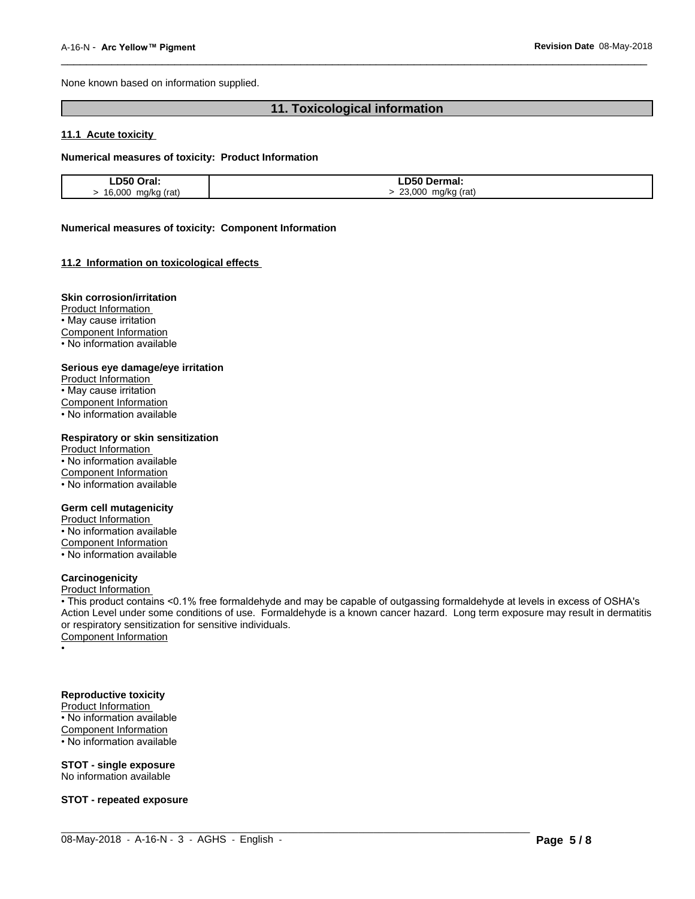None known based on information supplied.

## **11. Toxicological information**

 $\overline{\phantom{a}}$  ,  $\overline{\phantom{a}}$  ,  $\overline{\phantom{a}}$  ,  $\overline{\phantom{a}}$  ,  $\overline{\phantom{a}}$  ,  $\overline{\phantom{a}}$  ,  $\overline{\phantom{a}}$  ,  $\overline{\phantom{a}}$  ,  $\overline{\phantom{a}}$  ,  $\overline{\phantom{a}}$  ,  $\overline{\phantom{a}}$  ,  $\overline{\phantom{a}}$  ,  $\overline{\phantom{a}}$  ,  $\overline{\phantom{a}}$  ,  $\overline{\phantom{a}}$  ,  $\overline{\phantom{a}}$ 

#### **11.1 Acute toxicity**

#### **Numerical measures of toxicity: Product Information**

| D50 Oral.                    | <b>D50</b><br>Dermal:           |
|------------------------------|---------------------------------|
| 16,000<br>ma/ka (rat)<br>. . | 23,000<br>(rat)<br>ma/ka<br>. . |

#### **Numerical measures of toxicity: Component Information**

#### **11.2 Information on toxicologicaleffects**

#### **Skin corrosion/irritation**

Product Information • May cause irritation Component Information • No information available

#### **Serious eye damage/eye irritation**

Product Information • May cause irritation Component Information • No information available

#### **Respiratory or skin sensitization**

Product Information • No information available Component Information • No information available

#### **Germ cell mutagenicity**

Product Information

• No information available Component Information

• No information available

### **Carcinogenicity**

Product Information

• This product contains <0.1% free formaldehyde and may be capable of outgassing formaldehyde at levels in excess of OSHA's Action Level under some conditions of use. Formaldehyde is a known cancer hazard. Long term exposure may result in dermatitis or respiratory sensitization for sensitive individuals.<br>Component Information

 $\_$  ,  $\_$  ,  $\_$  ,  $\_$  ,  $\_$  ,  $\_$  ,  $\_$  ,  $\_$  ,  $\_$  ,  $\_$  ,  $\_$  ,  $\_$  ,  $\_$  ,  $\_$  ,  $\_$  ,  $\_$  ,  $\_$  ,  $\_$  ,  $\_$  ,  $\_$  ,  $\_$  ,  $\_$  ,  $\_$  ,  $\_$  ,  $\_$  ,  $\_$  ,  $\_$  ,  $\_$  ,  $\_$  ,  $\_$  ,  $\_$  ,  $\_$  ,  $\_$  ,  $\_$  ,  $\_$  ,  $\_$  ,  $\_$  ,

• Production of the contract of the contract of the contract of the contract of the contract of the contract of

### **Reproductive toxicity**

Product Information

 $\cdot$  No information available Component Information

• No information available

#### **STOT - single exposure** No information available

**STOT - repeated exposure**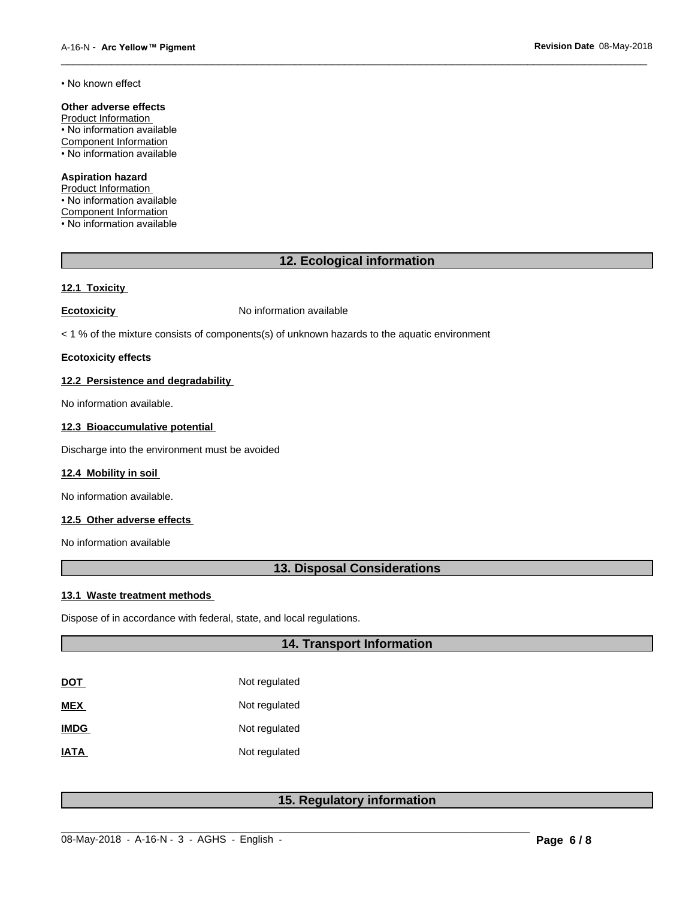• No known effect

### **Other adverse effects**

Product Information • No information available Component Information • No information available

#### **Aspiration hazard**

Product Information • No information available Component Information • No information available

### **12. Ecological information**

 $\overline{\phantom{a}}$  ,  $\overline{\phantom{a}}$  ,  $\overline{\phantom{a}}$  ,  $\overline{\phantom{a}}$  ,  $\overline{\phantom{a}}$  ,  $\overline{\phantom{a}}$  ,  $\overline{\phantom{a}}$  ,  $\overline{\phantom{a}}$  ,  $\overline{\phantom{a}}$  ,  $\overline{\phantom{a}}$  ,  $\overline{\phantom{a}}$  ,  $\overline{\phantom{a}}$  ,  $\overline{\phantom{a}}$  ,  $\overline{\phantom{a}}$  ,  $\overline{\phantom{a}}$  ,  $\overline{\phantom{a}}$ 

#### **12.1 Toxicity**

**Ecotoxicity No information available** 

< 1 % of the mixture consists of components(s) of unknown hazards to the aquatic environment

### **Ecotoxicity effects**

#### **12.2 Persistence and degradability**

No information available.

### **12.3 Bioaccumulative potential**

Discharge into the environment must be avoided

#### **12.4 Mobility in soil**

No information available.

### **12.5 Other adverse effects**

No information available

### **13. Disposal Considerations**

#### **13.1 Waste treatment methods**

Dispose of in accordance with federal, state, and local regulations.

### **14. Transport Information**

| DOT         | Not regulated |
|-------------|---------------|
| MEX         | Not regulated |
| <b>IMDG</b> | Not regulated |
| IATA        | Not regulated |

### **15. Regulatory information**

 $\_$  ,  $\_$  ,  $\_$  ,  $\_$  ,  $\_$  ,  $\_$  ,  $\_$  ,  $\_$  ,  $\_$  ,  $\_$  ,  $\_$  ,  $\_$  ,  $\_$  ,  $\_$  ,  $\_$  ,  $\_$  ,  $\_$  ,  $\_$  ,  $\_$  ,  $\_$  ,  $\_$  ,  $\_$  ,  $\_$  ,  $\_$  ,  $\_$  ,  $\_$  ,  $\_$  ,  $\_$  ,  $\_$  ,  $\_$  ,  $\_$  ,  $\_$  ,  $\_$  ,  $\_$  ,  $\_$  ,  $\_$  ,  $\_$  ,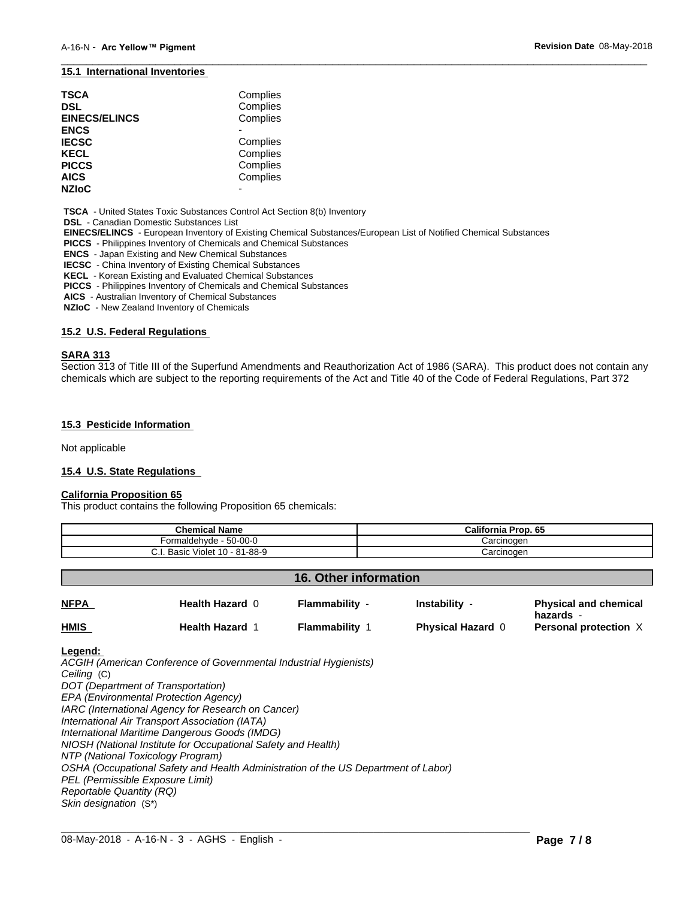#### **15.1 International Inventories**

| TSCA<br>DSL<br><b>EINECS/ELINCS</b> | Complies<br>Complies<br>Complies |  |
|-------------------------------------|----------------------------------|--|
| <b>ENCS</b>                         |                                  |  |
| <b>IECSC</b>                        | Complies                         |  |
| KECL                                | Complies                         |  |
| <b>PICCS</b>                        | Complies                         |  |
| AICS                                | Complies                         |  |
| <b>NZIoC</b>                        | -                                |  |

 **TSCA** - United States Toxic Substances Control Act Section 8(b) Inventory

 **DSL** - Canadian Domestic Substances List

 **EINECS/ELINCS** - European Inventory of Existing Chemical Substances/European List of Notified Chemical Substances

 **PICCS** - Philippines Inventory of Chemicals and Chemical Substances

 **ENCS** - Japan Existing and New Chemical Substances

 **IECSC** - China Inventory of Existing Chemical Substances

 **KECL** - Korean Existing and Evaluated Chemical Substances

 **PICCS** - Philippines Inventory of Chemicals and Chemical Substances

 **AICS** - Australian Inventory of Chemical Substances

 **NZIoC** - New Zealand Inventory of Chemicals

#### **15.2 U.S. Federal Regulations**

#### **SARA 313**

Section 313 of Title III of the Superfund Amendments and Reauthorization Act of 1986 (SARA). This product does not contain any chemicals which are subject to the reporting requirements of the Act and Title 40 of the Code of Federal Regulations, Part 372

 $\overline{\phantom{a}}$  ,  $\overline{\phantom{a}}$  ,  $\overline{\phantom{a}}$  ,  $\overline{\phantom{a}}$  ,  $\overline{\phantom{a}}$  ,  $\overline{\phantom{a}}$  ,  $\overline{\phantom{a}}$  ,  $\overline{\phantom{a}}$  ,  $\overline{\phantom{a}}$  ,  $\overline{\phantom{a}}$  ,  $\overline{\phantom{a}}$  ,  $\overline{\phantom{a}}$  ,  $\overline{\phantom{a}}$  ,  $\overline{\phantom{a}}$  ,  $\overline{\phantom{a}}$  ,  $\overline{\phantom{a}}$ 

#### **15.3 Pesticide Information**

Not applicable

#### **15.4 U.S. State Regulations**

#### **California Proposition 65**

This product contains the following Proposition 65 chemicals:

| <b>Chemical Name</b>                 | <b>California Prop. 65</b> |
|--------------------------------------|----------------------------|
| $50-00-0$<br>naldehvde<br>orm        | Carcinoɑen                 |
| Violet 10 - 81-88-9<br>Basic<br>◡.୲. | Carcinoɑen                 |

#### **16. Other information**

| <b>NFPA</b> | <b>Health Hazard 0</b> | Flammability -      | Instability              | <b>Physical and chemical</b><br>hazards - |
|-------------|------------------------|---------------------|--------------------------|-------------------------------------------|
| <b>HMIS</b> | <b>Health Hazard</b>   | <b>Flammability</b> | <b>Physical Hazard 0</b> | Personal protection $X$                   |

 $\_$  ,  $\_$  ,  $\_$  ,  $\_$  ,  $\_$  ,  $\_$  ,  $\_$  ,  $\_$  ,  $\_$  ,  $\_$  ,  $\_$  ,  $\_$  ,  $\_$  ,  $\_$  ,  $\_$  ,  $\_$  ,  $\_$  ,  $\_$  ,  $\_$  ,  $\_$  ,  $\_$  ,  $\_$  ,  $\_$  ,  $\_$  ,  $\_$  ,  $\_$  ,  $\_$  ,  $\_$  ,  $\_$  ,  $\_$  ,  $\_$  ,  $\_$  ,  $\_$  ,  $\_$  ,  $\_$  ,  $\_$  ,  $\_$  ,

#### **Legend:**

*ACGIH (American Conference of Governmental Industrial Hygienists) Ceiling* (C) *DOT (Department of Transportation) EPA (Environmental Protection Agency) IARC (International Agency for Research on Cancer) International Air Transport Association (IATA) International Maritime Dangerous Goods (IMDG) NIOSH (National Institute for Occupational Safety and Health) NTP (National Toxicology Program) OSHA (Occupational Safety and Health Administration of the US Department of Labor) PEL (Permissible Exposure Limit) Reportable Quantity (RQ) Skin designation* (S\*)